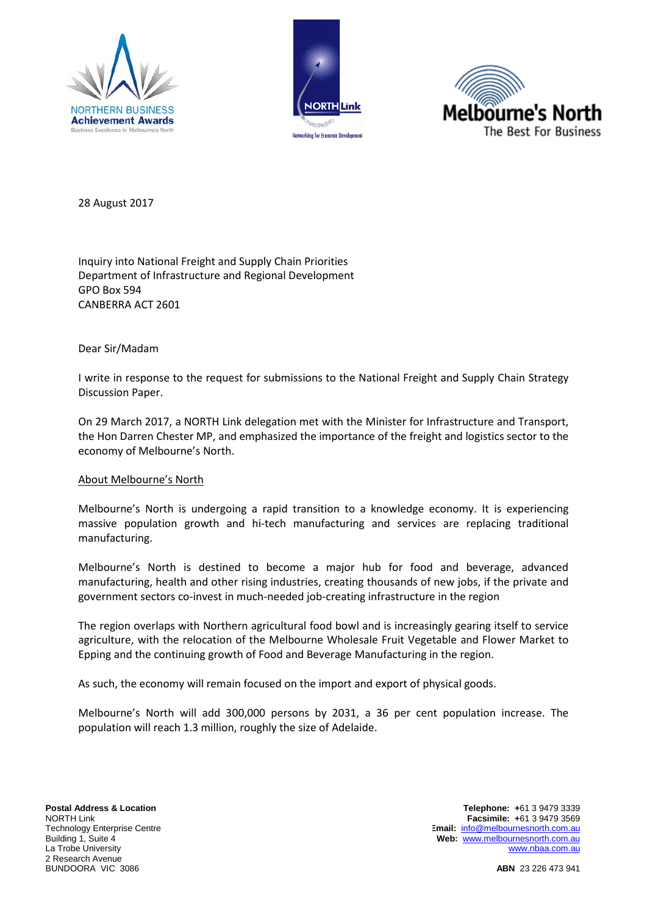





28 August 2017

Inquiry into National Freight and Supply Chain Priorities Department of Infrastructure and Regional Development GPO Box 594 CANBERRA ACT 2601

Dear Sir/Madam

I write in response to the request for submissions to the National Freight and Supply Chain Strategy Discussion Paper.

On 29 March 2017, a NORTH Link delegation met with the Minister for Infrastructure and Transport, the Hon Darren Chester MP, and emphasized the importance of the freight and logistics sector to the economy of Melbourne's North.

#### About Melbourne's North

Melbourne's North is undergoing a rapid transition to a knowledge economy. It is experiencing massive population growth and hi-tech manufacturing and services are replacing traditional manufacturing.

Melbourne's North is destined to become a major hub for food and beverage, advanced manufacturing, health and other rising industries, creating thousands of new jobs, if the private and government sectors co-invest in much-needed job-creating infrastructure in the region

The region overlaps with Northern agricultural food bowl and is increasingly gearing itself to service agriculture, with the relocation of the Melbourne Wholesale Fruit Vegetable and Flower Market to Epping and the continuing growth of Food and Beverage Manufacturing in the region.

As such, the economy will remain focused on the import and export of physical goods.

Melbourne's North will add 300,000 persons by 2031, a 36 per cent population increase. The population will reach 1.3 million, roughly the size of Adelaide.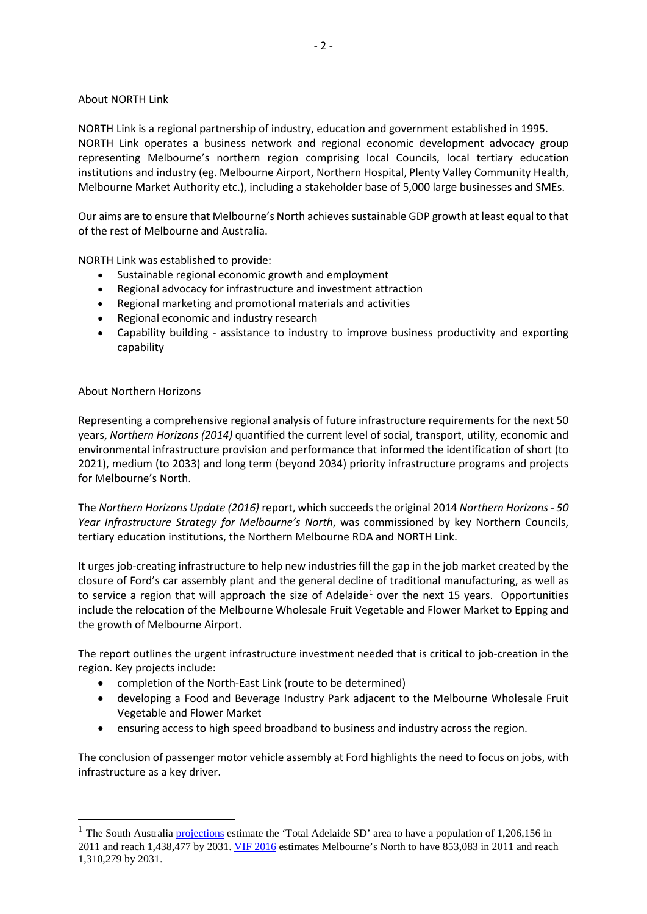## About NORTH Link

NORTH Link is a regional partnership of industry, education and government established in 1995. NORTH Link operates a business network and regional economic development advocacy group representing Melbourne's northern region comprising local Councils, local tertiary education institutions and industry (eg. Melbourne Airport, Northern Hospital, Plenty Valley Community Health, Melbourne Market Authority etc.), including a stakeholder base of 5,000 large businesses and SMEs.

Our aims are to ensure that Melbourne's North achieves sustainable GDP growth at least equal to that of the rest of Melbourne and Australia.

NORTH Link was established to provide:

- Sustainable regional economic growth and employment
- Regional advocacy for infrastructure and investment attraction
- Regional marketing and promotional materials and activities
- Regional economic and industry research
- Capability building assistance to industry to improve business productivity and exporting capability

### About Northern Horizons

Representing a comprehensive regional analysis of future infrastructure requirements for the next 50 years, *Northern Horizons (2014)* quantified the current level of social, transport, utility, economic and environmental infrastructure provision and performance that informed the identification of short (to 2021), medium (to 2033) and long term (beyond 2034) priority infrastructure programs and projects for Melbourne's North.

The *Northern Horizons Update (2016)* report, which succeeds the original 2014 *Northern Horizons - 50 Year Infrastructure Strategy for Melbourne's North*, was commissioned by key Northern Councils, tertiary education institutions, the Northern Melbourne RDA and NORTH Link.

It urges job-creating infrastructure to help new industries fill the gap in the job market created by the closure of Ford's car assembly plant and the general decline of traditional manufacturing, as well as to service a region that will approach the size of Adelaide<sup>[1](#page-1-0)</sup> over the next 15 years. Opportunities include the relocation of the Melbourne Wholesale Fruit Vegetable and Flower Market to Epping and the growth of Melbourne Airport.

The report outlines the urgent infrastructure investment needed that is critical to job-creation in the region. Key projects include:

- completion of the North-East Link (route to be determined)
- developing a Food and Beverage Industry Park adjacent to the Melbourne Wholesale Fruit Vegetable and Flower Market
- ensuring access to high speed broadband to business and industry across the region.

The conclusion of passenger motor vehicle assembly at Ford highlights the need to focus on jobs, with infrastructure as a key driver.

<span id="page-1-0"></span><sup>&</sup>lt;sup>1</sup> The South Australia [projections](http://www.dpti.sa.gov.au/__data/assets/excel_doc/0011/253379/Statistical_Local_Area_Projections_2011_2031.xls) estimate the 'Total Adelaide SD' area to have a population of 1,206,156 in 2011 and reach 1,438,477 by 2031[. VIF 2016](http://www.delwp.vic.gov.au/__data/assets/excel_doc/0006/342474/LGAs_VIFSAs_ERP_5yr_age_sex_2011_2031_VIF2016.xlsx) estimates Melbourne's North to have 853,083 in 2011 and reach 1,310,279 by 2031.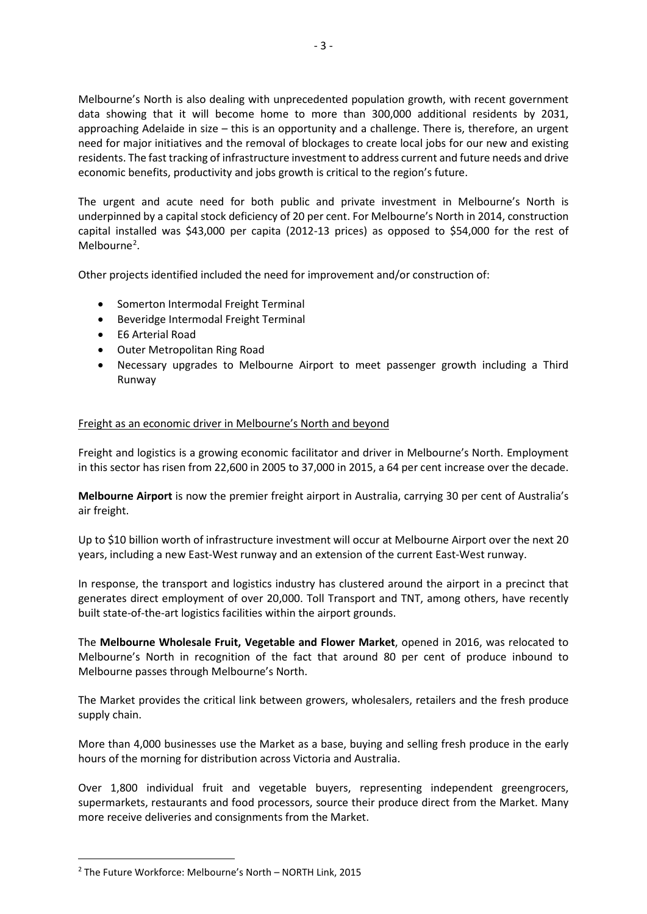Melbourne's North is also dealing with unprecedented population growth, with recent government data showing that it will become home to more than 300,000 additional residents by 2031, approaching Adelaide in size – this is an opportunity and a challenge. There is, therefore, an urgent need for major initiatives and the removal of blockages to create local jobs for our new and existing residents. The fast tracking of infrastructure investment to address current and future needs and drive economic benefits, productivity and jobs growth is critical to the region's future.

The urgent and acute need for both public and private investment in Melbourne's North is underpinned by a capital stock deficiency of 20 per cent. For Melbourne's North in 2014, construction capital installed was \$43,000 per capita (2012-13 prices) as opposed to \$54,000 for the rest of Melbourne<sup>[2](#page-2-0)</sup>.

Other projects identified included the need for improvement and/or construction of:

- Somerton Intermodal Freight Terminal
- Beveridge Intermodal Freight Terminal
- E6 Arterial Road
- Outer Metropolitan Ring Road
- Necessary upgrades to Melbourne Airport to meet passenger growth including a Third Runway

# Freight as an economic driver in Melbourne's North and beyond

Freight and logistics is a growing economic facilitator and driver in Melbourne's North. Employment in this sector has risen from 22,600 in 2005 to 37,000 in 2015, a 64 per cent increase over the decade.

**Melbourne Airport** is now the premier freight airport in Australia, carrying 30 per cent of Australia's air freight.

Up to \$10 billion worth of infrastructure investment will occur at Melbourne Airport over the next 20 years, including a new East-West runway and an extension of the current East-West runway.

In response, the transport and logistics industry has clustered around the airport in a precinct that generates direct employment of over 20,000. Toll Transport and TNT, among others, have recently built state-of-the-art logistics facilities within the airport grounds.

The **Melbourne Wholesale Fruit, Vegetable and Flower Market**, opened in 2016, was relocated to Melbourne's North in recognition of the fact that around 80 per cent of produce inbound to Melbourne passes through Melbourne's North.

The Market provides the critical link between growers, wholesalers, retailers and the fresh produce supply chain.

More than 4,000 businesses use the Market as a base, buying and selling fresh produce in the early hours of the morning for distribution across Victoria and Australia.

Over 1,800 individual fruit and vegetable buyers, representing independent greengrocers, supermarkets, restaurants and food processors, source their produce direct from the Market. Many more receive deliveries and consignments from the Market.

<u>.</u>

<span id="page-2-0"></span><sup>2</sup> The Future Workforce: Melbourne's North – NORTH Link, 2015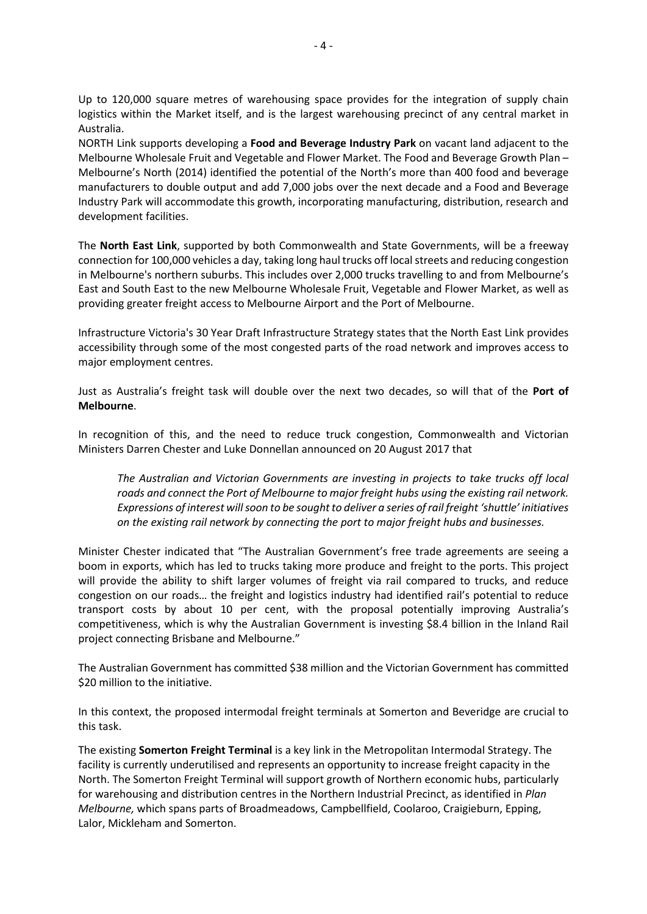Up to 120,000 square metres of warehousing space provides for the integration of supply chain logistics within the Market itself, and is the largest warehousing precinct of any central market in Australia.

NORTH Link supports developing a **Food and Beverage Industry Park** on vacant land adjacent to the Melbourne Wholesale Fruit and Vegetable and Flower Market. The Food and Beverage Growth Plan – Melbourne's North (2014) identified the potential of the North's more than 400 food and beverage manufacturers to double output and add 7,000 jobs over the next decade and a Food and Beverage Industry Park will accommodate this growth, incorporating manufacturing, distribution, research and development facilities.

The **North East Link**, supported by both Commonwealth and State Governments, will be a freeway connection for 100,000 vehicles a day, taking long haul trucks off local streets and reducing congestion in Melbourne's northern suburbs. This includes over 2,000 trucks travelling to and from Melbourne's East and South East to the new Melbourne Wholesale Fruit, Vegetable and Flower Market, as well as providing greater freight access to Melbourne Airport and the Port of Melbourne.

Infrastructure Victoria's 30 Year Draft Infrastructure Strategy states that the North East Link provides accessibility through some of the most congested parts of the road network and improves access to major employment centres.

Just as Australia's freight task will double over the next two decades, so will that of the **Port of Melbourne**.

In recognition of this, and the need to reduce truck congestion, Commonwealth and Victorian Ministers Darren Chester and Luke Donnellan announced on 20 August 2017 that

*The Australian and Victorian Governments are investing in projects to take trucks off local roads and connect the Port of Melbourne to major freight hubs using the existing rail network. Expressions of interest will soon to be sought to deliver a series of rail freight 'shuttle' initiatives on the existing rail network by connecting the port to major freight hubs and businesses.*

Minister Chester indicated that "The Australian Government's free trade agreements are seeing a boom in exports, which has led to trucks taking more produce and freight to the ports. This project will provide the ability to shift larger volumes of freight via rail compared to trucks, and reduce congestion on our roads… the freight and logistics industry had identified rail's potential to reduce transport costs by about 10 per cent, with the proposal potentially improving Australia's competitiveness, which is why the Australian Government is investing \$8.4 billion in the Inland Rail project connecting Brisbane and Melbourne."

The Australian Government has committed \$38 million and the Victorian Government has committed \$20 million to the initiative.

In this context, the proposed intermodal freight terminals at Somerton and Beveridge are crucial to this task.

The existing **Somerton Freight Terminal** is a key link in the Metropolitan Intermodal Strategy. The facility is currently underutilised and represents an opportunity to increase freight capacity in the North. The Somerton Freight Terminal will support growth of Northern economic hubs, particularly for warehousing and distribution centres in the Northern Industrial Precinct, as identified in *Plan Melbourne,* which spans parts of Broadmeadows, Campbellfield, Coolaroo, Craigieburn, Epping, Lalor, Mickleham and Somerton.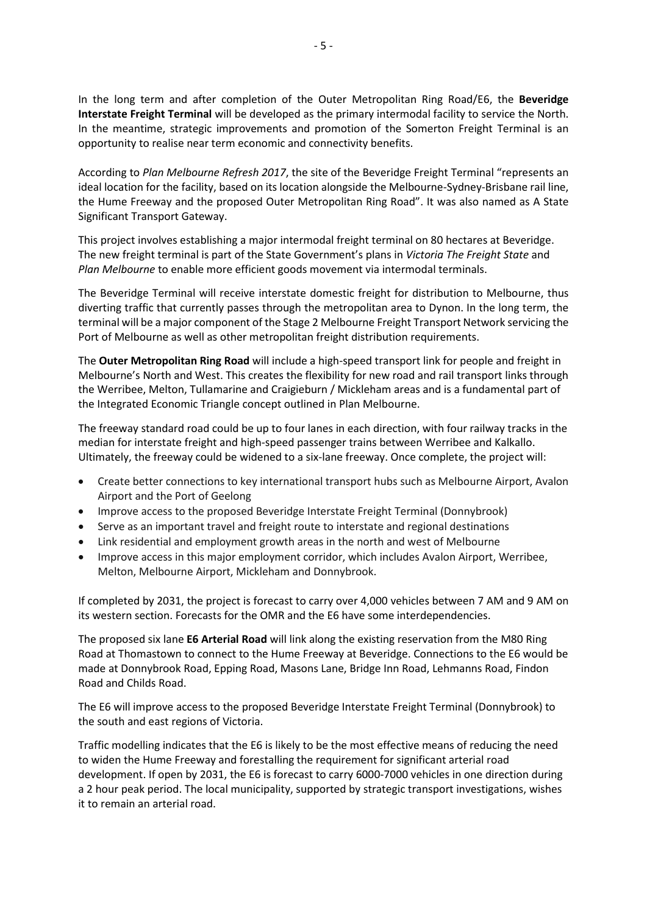In the long term and after completion of the Outer Metropolitan Ring Road/E6, the **Beveridge Interstate Freight Terminal** will be developed as the primary intermodal facility to service the North. In the meantime, strategic improvements and promotion of the Somerton Freight Terminal is an opportunity to realise near term economic and connectivity benefits.

According to *Plan Melbourne Refresh 2017*, the site of the Beveridge Freight Terminal "represents an ideal location for the facility, based on its location alongside the Melbourne-Sydney-Brisbane rail line, the Hume Freeway and the proposed Outer Metropolitan Ring Road". It was also named as A State Significant Transport Gateway.

This project involves establishing a major intermodal freight terminal on 80 hectares at Beveridge. The new freight terminal is part of the State Government's plans in *Victoria The Freight State* and *Plan Melbourne* to enable more efficient goods movement via intermodal terminals.

The Beveridge Terminal will receive interstate domestic freight for distribution to Melbourne, thus diverting traffic that currently passes through the metropolitan area to Dynon. In the long term, the terminal will be a major component of the Stage 2 Melbourne Freight Transport Network servicing the Port of Melbourne as well as other metropolitan freight distribution requirements.

The **Outer Metropolitan Ring Road** will include a high-speed transport link for people and freight in Melbourne's North and West. This creates the flexibility for new road and rail transport links through the Werribee, Melton, Tullamarine and Craigieburn / Mickleham areas and is a fundamental part of the Integrated Economic Triangle concept outlined in Plan Melbourne.

The freeway standard road could be up to four lanes in each direction, with four railway tracks in the median for interstate freight and high-speed passenger trains between Werribee and Kalkallo. Ultimately, the freeway could be widened to a six-lane freeway. Once complete, the project will:

- Create better connections to key international transport hubs such as Melbourne Airport, Avalon Airport and the Port of Geelong
- Improve access to the proposed Beveridge Interstate Freight Terminal (Donnybrook)
- Serve as an important travel and freight route to interstate and regional destinations
- Link residential and employment growth areas in the north and west of Melbourne
- Improve access in this major employment corridor, which includes Avalon Airport, Werribee, Melton, Melbourne Airport, Mickleham and Donnybrook.

If completed by 2031, the project is forecast to carry over 4,000 vehicles between 7 AM and 9 AM on its western section. Forecasts for the OMR and the E6 have some interdependencies.

The proposed six lane **E6 Arterial Road** will link along the existing reservation from the M80 Ring Road at Thomastown to connect to the Hume Freeway at Beveridge. Connections to the E6 would be made at Donnybrook Road, Epping Road, Masons Lane, Bridge Inn Road, Lehmanns Road, Findon Road and Childs Road.

The E6 will improve access to the proposed Beveridge Interstate Freight Terminal (Donnybrook) to the south and east regions of Victoria.

Traffic modelling indicates that the E6 is likely to be the most effective means of reducing the need to widen the Hume Freeway and forestalling the requirement for significant arterial road development. If open by 2031, the E6 is forecast to carry 6000-7000 vehicles in one direction during a 2 hour peak period. The local municipality, supported by strategic transport investigations, wishes it to remain an arterial road.